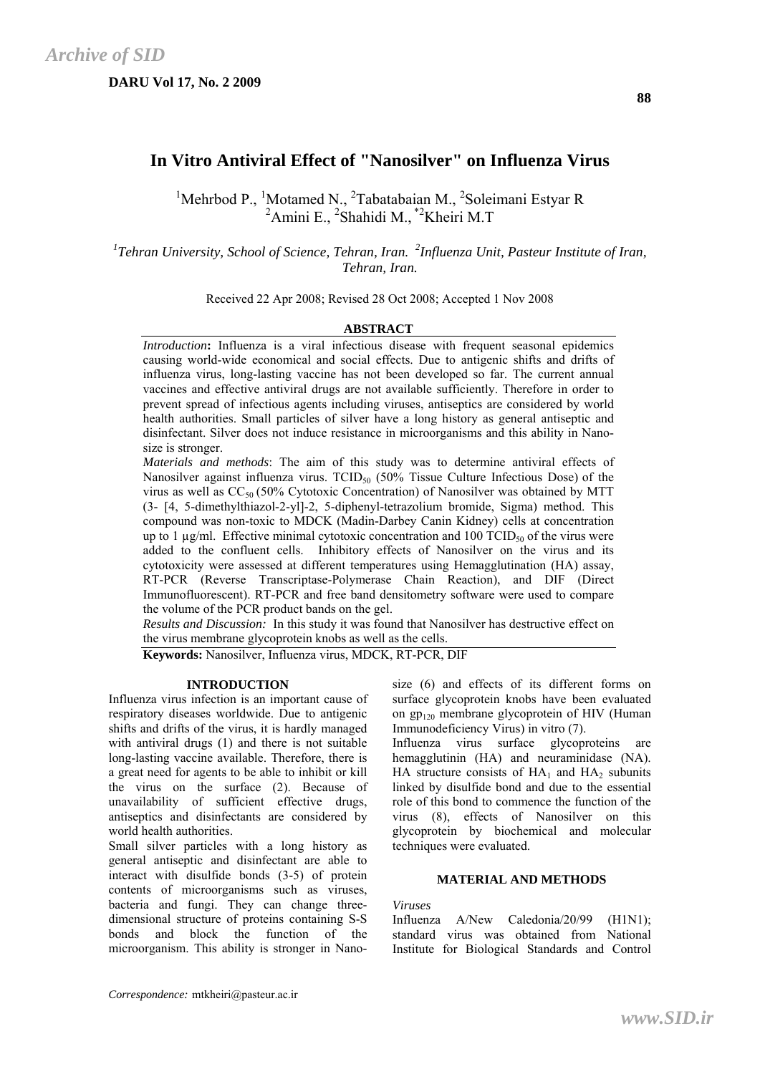**DARU Vol 17, No. 2 2009** 

# **In Vitro Antiviral Effect of "Nanosilver" on Influenza Virus**

<sup>1</sup>Mehrbod P., <sup>1</sup>Motamed N., <sup>2</sup>Tabatabaian M., <sup>2</sup>Soleimani Estyar R <sup>2</sup>Amini E., <sup>2</sup>Shahidi M., <sup>\*2</sup>Kheiri M.T

<sup>1</sup>Tehran University, School of Science, Tehran, Iran. <sup>2</sup>Influenza Unit, Pasteur Institute of Iran, *Tehran, Iran.* 

Received 22 Apr 2008; Revised 28 Oct 2008; Accepted 1 Nov 2008

# **ABSTRACT**

*Introduction*: Influenza is a viral infectious disease with frequent seasonal epidemics causing world-wide economical and social effects. Due to antigenic shifts and drifts of influenza virus, long-lasting vaccine has not been developed so far. The current annual vaccines and effective antiviral drugs are not available sufficiently. Therefore in order to prevent spread of infectious agents including viruses, antiseptics are considered by world health authorities. Small particles of silver have a long history as general antiseptic and disinfectant. Silver does not induce resistance in microorganisms and this ability in Nanosize is stronger.

*Materials and methods*: The aim of this study was to determine antiviral effects of Nanosilver against influenza virus.  $TCID_{50}$  (50% Tissue Culture Infectious Dose) of the virus as well as  $CC_{50}$  (50% Cytotoxic Concentration) of Nanosilver was obtained by MTT (3- [4, 5-dimethylthiazol-2-yl]-2, 5-diphenyl-tetrazolium bromide, Sigma) method. This compound was non-toxic to MDCK (Madin-Darbey Canin Kidney) cells at concentration up to 1  $\mu$ g/ml. Effective minimal cytotoxic concentration and 100 TCID<sub>50</sub> of the virus were added to the confluent cells. Inhibitory effects of Nanosilver on the virus and its cytotoxicity were assessed at different temperatures using Hemagglutination (HA) assay, RT-PCR (Reverse Transcriptase-Polymerase Chain Reaction), and DIF (Direct Immunofluorescent). RT-PCR and free band densitometry software were used to compare the volume of the PCR product bands on the gel.

*Results and Discussion:* In this study it was found that Nanosilver has destructive effect on the virus membrane glycoprotein knobs as well as the cells.

**Keywords:** Nanosilver, Influenza virus, MDCK, RT-PCR, DIF

## **INTRODUCTION**

Influenza virus infection is an important cause of respiratory diseases worldwide. Due to antigenic shifts and drifts of the virus, it is hardly managed with antiviral drugs (1) and there is not suitable long-lasting vaccine available. Therefore, there is a great need for agents to be able to inhibit or kill the virus on the surface (2). Because of unavailability of sufficient effective drugs, antiseptics and disinfectants are considered by world health authorities.

Small silver particles with a long history as general antiseptic and disinfectant are able to interact with disulfide bonds (3-5) of protein contents of microorganisms such as viruses, bacteria and fungi. They can change threedimensional structure of proteins containing S-S bonds and block the function of the microorganism. This ability is stronger in Nanosize (6) and effects of its different forms on surface glycoprotein knobs have been evaluated on  $gp_{120}$  membrane glycoprotein of HIV (Human Immunodeficiency Virus) in vitro (7).

Influenza virus surface glycoproteins are hemagglutinin (HA) and neuraminidase (NA). HA structure consists of  $HA_1$  and  $HA_2$  subunits linked by disulfide bond and due to the essential role of this bond to commence the function of the virus (8), effects of Nanosilver on this glycoprotein by biochemical and molecular techniques were evaluated.

## **MATERIAL AND METHODS**

*Viruses*

Influenza A/New Caledonia/20/99 (H1N1); standard virus was obtained from National Institute for Biological Standards and Control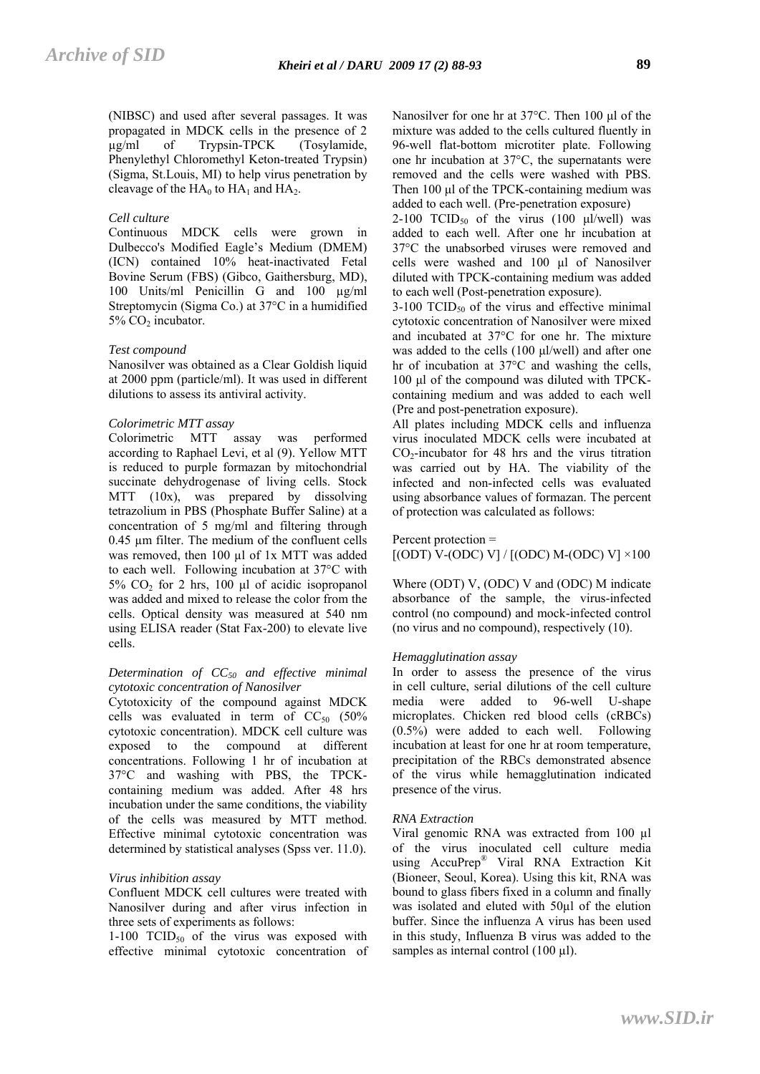(NIBSC) and used after several passages. It was propagated in MDCK cells in the presence of 2 µg/ml of Trypsin-TPCK (Tosylamide, Phenylethyl Chloromethyl Keton-treated Trypsin) (Sigma, St.Louis, MI) to help virus penetration by cleavage of the  $HA_0$  to  $HA_1$  and  $HA_2$ .

## *Cell culture*

Continuous MDCK cells were grown in Dulbecco's Modified Eagle's Medium (DMEM) (ICN) contained 10% heat-inactivated Fetal Bovine Serum (FBS) (Gibco, Gaithersburg, MD), 100 Units/ml Penicillin G and 100 µg/ml Streptomycin (Sigma Co.) at 37°C in a humidified  $5\%$  CO<sub>2</sub> incubator.

#### *Test compound*

Nanosilver was obtained as a Clear Goldish liquid at 2000 ppm (particle/ml). It was used in different dilutions to assess its antiviral activity.

# *Colorimetric MTT assay*

Colorimetric MTT assay was performed according to Raphael Levi, et al (9). Yellow MTT is reduced to purple formazan by mitochondrial succinate dehydrogenase of living cells. Stock MTT (10x), was prepared by dissolving tetrazolium in PBS (Phosphate Buffer Saline) at a concentration of 5 mg/ml and filtering through 0.45 µm filter. The medium of the confluent cells was removed, then 100 µl of 1x MTT was added to each well. Following incubation at 37°C with 5% CO2 for 2 hrs, 100 μl of acidic isopropanol was added and mixed to release the color from the cells. Optical density was measured at 540 nm using ELISA reader (Stat Fax-200) to elevate live cells.

#### *Determination of CC50 and effective minimal cytotoxic concentration of Nanosilver*

Cytotoxicity of the compound against MDCK cells was evaluated in term of  $CC_{50}$  (50%) cytotoxic concentration). MDCK cell culture was exposed to the compound at different concentrations. Following 1 hr of incubation at 37°C and washing with PBS, the TPCKcontaining medium was added. After 48 hrs incubation under the same conditions, the viability of the cells was measured by MTT method. Effective minimal cytotoxic concentration was determined by statistical analyses (Spss ver. 11.0).

# *Virus inhibition assay*

Confluent MDCK cell cultures were treated with Nanosilver during and after virus infection in three sets of experiments as follows:

1-100  $TCID_{50}$  of the virus was exposed with effective minimal cytotoxic concentration of Nanosilver for one hr at 37°C. Then 100 μl of the mixture was added to the cells cultured fluently in 96-well flat-bottom microtiter plate. Following one hr incubation at 37°C, the supernatants were removed and the cells were washed with PBS. Then 100 μl of the TPCK-containing medium was added to each well. (Pre-penetration exposure)

2-100 TCID<sub>50</sub> of the virus (100 μl/well) was added to each well. After one hr incubation at 37°C the unabsorbed viruses were removed and cells were washed and 100 μl of Nanosilver diluted with TPCK-containing medium was added to each well (Post-penetration exposure).

 $3-100$  TCID<sub>50</sub> of the virus and effective minimal cytotoxic concentration of Nanosilver were mixed and incubated at 37°C for one hr. The mixture was added to the cells (100 μl/well) and after one hr of incubation at 37°C and washing the cells, 100 μl of the compound was diluted with TPCKcontaining medium and was added to each well (Pre and post-penetration exposure).

All plates including MDCK cells and influenza virus inoculated MDCK cells were incubated at  $CO<sub>2</sub>$ -incubator for 48 hrs and the virus titration was carried out by HA. The viability of the infected and non-infected cells was evaluated using absorbance values of formazan. The percent of protection was calculated as follows:

## Percent protection =

 $[(ODT) V-(ODC) V]/[(ODC) M-(ODC) V] \times 100$ 

Where (ODT) V, (ODC) V and (ODC) M indicate absorbance of the sample, the virus-infected control (no compound) and mock-infected control (no virus and no compound), respectively (10).

#### *Hemagglutination assay*

In order to assess the presence of the virus in cell culture, serial dilutions of the cell culture media were added to 96-well U-shape microplates. Chicken red blood cells (cRBCs) (0.5%) were added to each well. Following incubation at least for one hr at room temperature, precipitation of the RBCs demonstrated absence of the virus while hemagglutination indicated presence of the virus.

#### *RNA Extraction*

Viral genomic RNA was extracted from 100 µl of the virus inoculated cell culture media using AccuPrep® Viral RNA Extraction Kit (Bioneer, Seoul, Korea). Using this kit, RNA was bound to glass fibers fixed in a column and finally was isolated and eluted with 50µl of the elution buffer. Since the influenza A virus has been used in this study, Influenza B virus was added to the samples as internal control  $(100 \mu l)$ .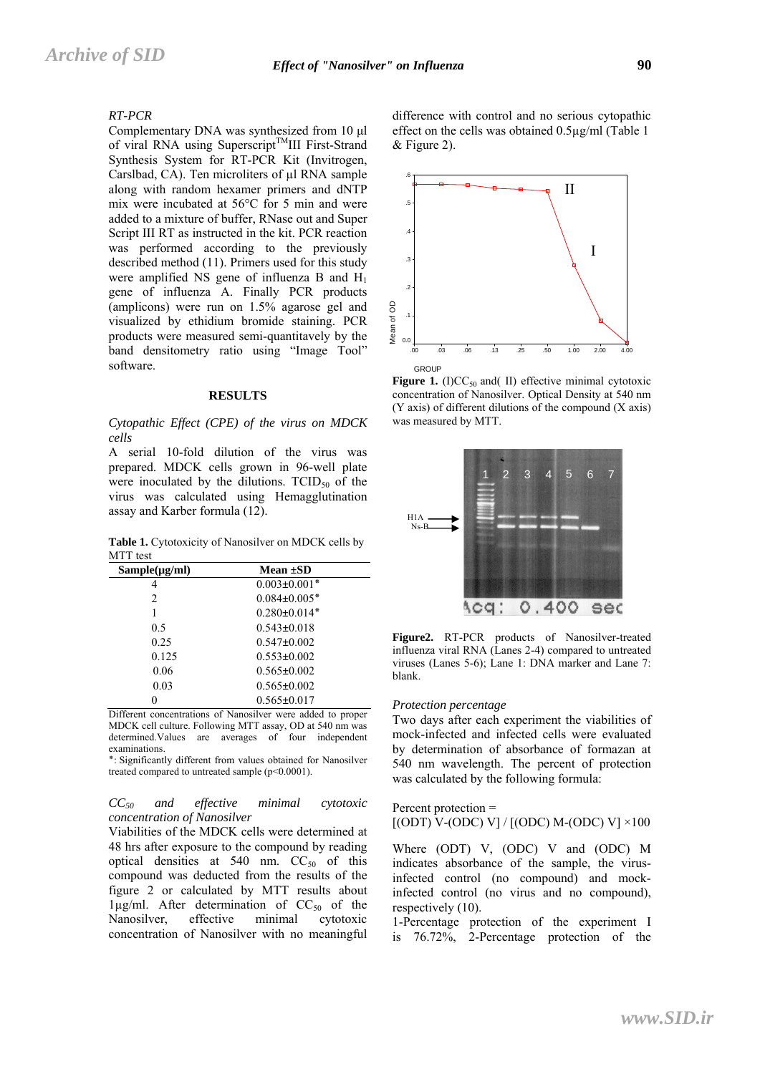## *RT-PCR*

Complementary DNA was synthesized from 10 μl of viral RNA using Superscript<sup>TM</sup>III First-Strand Synthesis System for RT-PCR Kit (Invitrogen, Carslbad, CA). Ten microliters of  $\mu$ l RNA sample along with random hexamer primers and dNTP mix were incubated at 56°C for 5 min and were added to a mixture of buffer, RNase out and Super Script III RT as instructed in the kit. PCR reaction was performed according to the previously described method (11). Primers used for this study were amplified NS gene of influenza B and  $H_1$ gene of influenza A. Finally PCR products (amplicons) were run on 1.5% agarose gel and visualized by ethidium bromide staining. PCR products were measured semi-quantitavely by the band densitometry ratio using "Image Tool" software.

#### **RESULTS**

#### *Cytopathic Effect (CPE) of the virus on MDCK cells*

A serial 10-fold dilution of the virus was prepared. MDCK cells grown in 96-well plate were inoculated by the dilutions.  $TCID_{50}$  of the virus was calculated using Hemagglutination assay and Karber formula (12).

**Table 1.** Cytotoxicity of Nanosilver on MDCK cells by MTT test

| $Sample(\mu g/ml)$ | Mean $\pm SD$      |
|--------------------|--------------------|
| 4                  | $0.003 \pm 0.001*$ |
| 2                  | $0.084 \pm 0.005*$ |
|                    | $0.280 \pm 0.014*$ |
| 0.5                | $0.543 \pm 0.018$  |
| 0.25               | $0.547 \pm 0.002$  |
| 0.125              | $0.553 \pm 0.002$  |
| 0.06               | $0.565 \pm 0.002$  |
| 0.03               | $0.565 \pm 0.002$  |
|                    | $0.565 \pm 0.017$  |

Different concentrations of Nanosilver were added to proper MDCK cell culture. Following MTT assay, OD at 540 nm was determined.Values are averages of four independent examinations.

٭: Significantly different from values obtained for Nanosilver treated compared to untreated sample (p<0.0001).

#### *CC50 and effective minimal cytotoxic concentration of Nanosilver*

Viabilities of the MDCK cells were determined at 48 hrs after exposure to the compound by reading optical densities at 540 nm.  $CC_{50}$  of this compound was deducted from the results of the figure 2 or calculated by MTT results about  $1\mu$ g/ml. After determination of CC<sub>50</sub> of the Nanosilver, effective minimal cytotoxic concentration of Nanosilver with no meaningful difference with control and no serious cytopathic effect on the cells was obtained 0.5µg/ml (Table 1 & Figure 2).



**Figure 1.** (I)CC $_{50}$  and( II) effective minimal cytotoxic concentration of Nanosilver. Optical Density at 540 nm (Y axis) of different dilutions of the compound (X axis) was measured by MTT.



**Figure2.** RT-PCR products of Nanosilver-treated influenza viral RNA (Lanes 2-4) compared to untreated viruses (Lanes 5-6); Lane 1: DNA marker and Lane 7: blank.

#### *Protection percentage*

Two days after each experiment the viabilities of mock-infected and infected cells were evaluated by determination of absorbance of formazan at 540 nm wavelength. The percent of protection was calculated by the following formula:

#### Percent protection =  $[(ODT) V - (ODC) V] / [(ODC) M - (ODC) V] \times 100$

Where (ODT) V, (ODC) V and (ODC) M indicates absorbance of the sample, the virusinfected control (no compound) and mockinfected control (no virus and no compound), respectively (10).

1-Percentage protection of the experiment I is 76.72%, 2-Percentage protection of the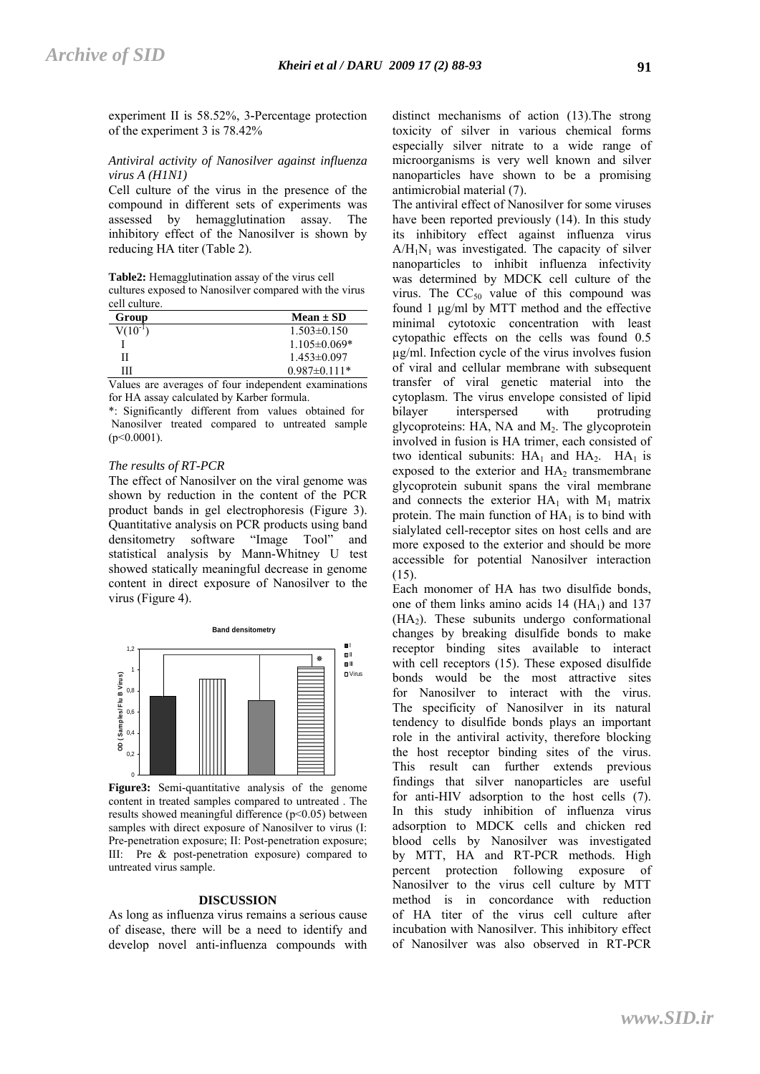experiment II is 58.52%, 3**-**Percentage protection of the experiment 3 is 78.42%

## *Antiviral activity of Nanosilver against influenza virus A (H1N1)*

Cell culture of the virus in the presence of the compound in different sets of experiments was assessed by hemagglutination assay. The inhibitory effect of the Nanosilver is shown by reducing HA titer (Table 2).

**Table2:** Hemagglutination assay of the virus cell cultures exposed to Nanosilver compared with the virus cell culture.

| Group       | Mean $\pm$ SD     |
|-------------|-------------------|
| $V(10^{-1}$ | $1.503 \pm 0.150$ |
|             | $1.105\pm0.069*$  |
| Н           | $1.453\pm0.097$   |
| ш           | $0.987\pm0.111*$  |

Values are averages of four independent examinations for HA assay calculated by Karber formula.

\*: Significantly different from values obtained for Nanosilver treated compared to untreated sample  $(p<0.0001)$ .

# *The results of RT-PCR*

The effect of Nanosilver on the viral genome was shown by reduction in the content of the PCR product bands in gel electrophoresis (Figure 3). Quantitative analysis on PCR products using band densitometry software "Image Tool" and statistical analysis by Mann-Whitney U test showed statically meaningful decrease in genome content in direct exposure of Nanosilver to the virus (Figure 4).



**Figure3:** Semi-quantitative analysis of the genome content in treated samples compared to untreated . The results showed meaningful difference (p<0.05) between samples with direct exposure of Nanosilver to virus (I: Pre-penetration exposure; II: Post-penetration exposure; III: Pre & post-penetration exposure) compared to untreated virus sample.

## **DISCUSSION**

As long as influenza virus remains a serious cause of disease, there will be a need to identify and develop novel anti-influenza compounds with

distinct mechanisms of action (13).The strong toxicity of silver in various chemical forms especially silver nitrate to a wide range of microorganisms is very well known and silver nanoparticles have shown to be a promising antimicrobial material (7).

The antiviral effect of Nanosilver for some viruses have been reported previously (14). In this study its inhibitory effect against influenza virus  $A/H_1N_1$  was investigated. The capacity of silver nanoparticles to inhibit influenza infectivity was determined by MDCK cell culture of the virus. The  $CC_{50}$  value of this compound was found 1 µg/ml by MTT method and the effective minimal cytotoxic concentration with least cytopathic effects on the cells was found 0.5 µg/ml. Infection cycle of the virus involves fusion of viral and cellular membrane with subsequent transfer of viral genetic material into the cytoplasm. The virus envelope consisted of lipid bilayer interspersed with protruding glycoproteins: HA, NA and  $M<sub>2</sub>$ . The glycoprotein involved in fusion is HA trimer, each consisted of two identical subunits:  $HA_1$  and  $HA_2$ .  $HA_1$  is exposed to the exterior and  $HA<sub>2</sub>$  transmembrane glycoprotein subunit spans the viral membrane and connects the exterior  $HA_1$  with  $M_1$  matrix protein. The main function of  $HA_1$  is to bind with sialylated cell-receptor sites on host cells and are more exposed to the exterior and should be more accessible for potential Nanosilver interaction (15).

Each monomer of HA has two disulfide bonds, one of them links amino acids  $14$  (HA<sub>1</sub>) and  $137$  $(HA<sub>2</sub>)$ . These subunits undergo conformational changes by breaking disulfide bonds to make receptor binding sites available to interact with cell receptors (15). These exposed disulfide bonds would be the most attractive sites for Nanosilver to interact with the virus. The specificity of Nanosilver in its natural tendency to disulfide bonds plays an important role in the antiviral activity, therefore blocking the host receptor binding sites of the virus. This result can further extends previous findings that silver nanoparticles are useful for anti-HIV adsorption to the host cells (7). In this study inhibition of influenza virus adsorption to MDCK cells and chicken red blood cells by Nanosilver was investigated by MTT, HA and RT-PCR methods. High percent protection following exposure of Nanosilver to the virus cell culture by MTT method is in concordance with reduction of HA titer of the virus cell culture after incubation with Nanosilver. This inhibitory effect of Nanosilver was also observed in RT-PCR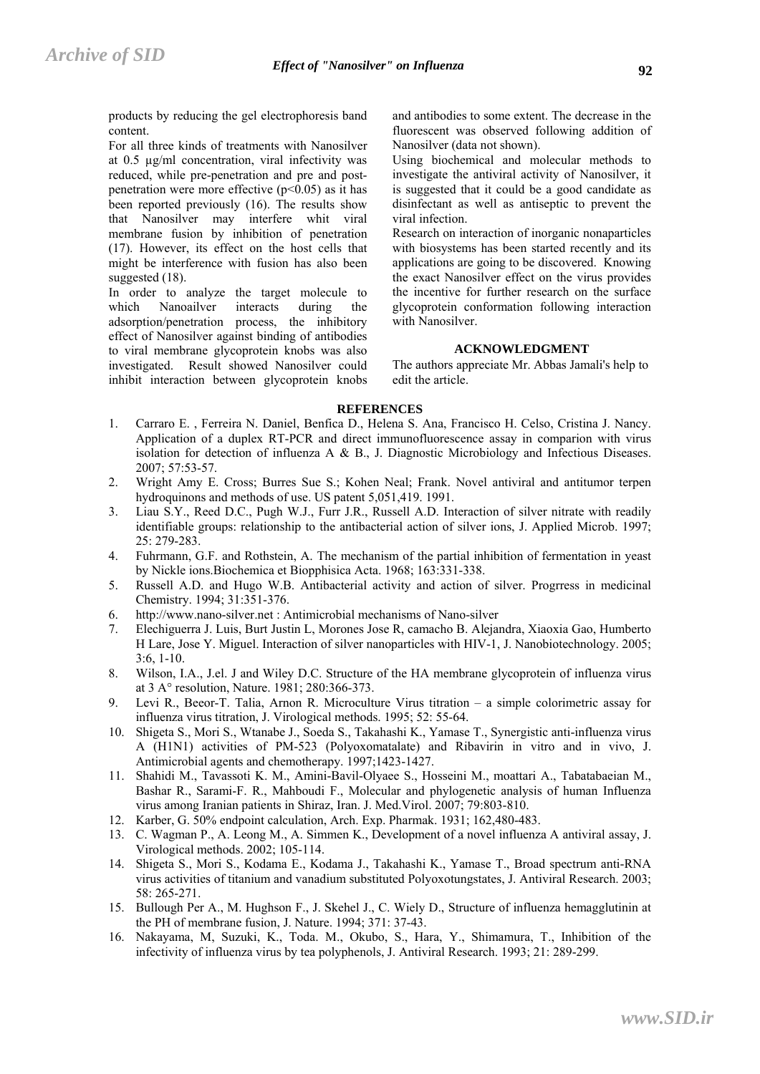products by reducing the gel electrophoresis band content.

For all three kinds of treatments with Nanosilver at 0.5 µg/ml concentration, viral infectivity was reduced, while pre-penetration and pre and postpenetration were more effective  $(p<0.05)$  as it has been reported previously (16). The results show that Nanosilver may interfere whit viral membrane fusion by inhibition of penetration (17). However, its effect on the host cells that might be interference with fusion has also been suggested (18).

In order to analyze the target molecule to which Nanoailver interacts during the adsorption/penetration process, the inhibitory effect of Nanosilver against binding of antibodies to viral membrane glycoprotein knobs was also investigated. Result showed Nanosilver could inhibit interaction between glycoprotein knobs and antibodies to some extent. The decrease in the fluorescent was observed following addition of Nanosilver (data not shown).

Using biochemical and molecular methods to investigate the antiviral activity of Nanosilver, it is suggested that it could be a good candidate as disinfectant as well as antiseptic to prevent the viral infection.

Research on interaction of inorganic nonaparticles with biosystems has been started recently and its applications are going to be discovered. Knowing the exact Nanosilver effect on the virus provides the incentive for further research on the surface glycoprotein conformation following interaction with Nanosilver.

## **ACKNOWLEDGMENT**

The authors appreciate Mr. Abbas Jamali's help to edit the article.

# **REFERENCES**

- 1. Carraro E. , Ferreira N. Daniel, Benfica D., Helena S. Ana, Francisco H. Celso, Cristina J. Nancy. Application of a duplex RT-PCR and direct immunofluorescence assay in comparion with virus isolation for detection of influenza A & B., J. Diagnostic Microbiology and Infectious Diseases. 2007; 57:53-57.
- 2. Wright Amy E. Cross; Burres Sue S.; Kohen Neal; Frank. Novel antiviral and antitumor terpen hydroquinons and methods of use. US patent 5,051,419, 1991.
- 3. Liau S.Y., Reed D.C., Pugh W.J., Furr J.R., Russell A.D. Interaction of silver nitrate with readily identifiable groups: relationship to the antibacterial action of silver ions, J. Applied Microb. 1997; 25: 279-283.
- 4. Fuhrmann, G.F. and Rothstein, A. The mechanism of the partial inhibition of fermentation in yeast by Nickle ions.Biochemica et Biopphisica Acta. 1968; 163:331-338.
- 5. Russell A.D. and Hugo W.B. Antibacterial activity and action of silver. Progrress in medicinal Chemistry. 1994; 31:351-376.
- 6. http://www.nano-silver.net : Antimicrobial mechanisms of Nano-silver
- 7. Elechiguerra J. Luis, Burt Justin L, Morones Jose R, camacho B. Alejandra, Xiaoxia Gao, Humberto H Lare, Jose Y. Miguel. Interaction of silver nanoparticles with HIV-1, J. Nanobiotechnology. 2005; 3:6, 1-10.
- 8. Wilson, I.A., J.el. J and Wiley D.C. Structure of the HA membrane glycoprotein of influenza virus at 3 A° resolution, Nature. 1981; 280:366-373.
- 9. Levi R., Beeor-T. Talia, Arnon R. Microculture Virus titration a simple colorimetric assay for influenza virus titration, J. Virological methods. 1995; 52: 55-64.
- 10. Shigeta S., Mori S., Wtanabe J., Soeda S., Takahashi K., Yamase T., Synergistic anti-influenza virus A (H1N1) activities of PM-523 (Polyoxomatalate) and Ribavirin in vitro and in vivo, J. Antimicrobial agents and chemotherapy. 1997;1423-1427.
- 11. Shahidi M., Tavassoti K. M., Amini-Bavil-Olyaee S., Hosseini M., moattari A., Tabatabaeian M., Bashar R., Sarami-F. R., Mahboudi F., Molecular and phylogenetic analysis of human Influenza virus among Iranian patients in Shiraz, Iran. J. Med.Virol. 2007; 79:803-810.
- 12. Karber, G. 50% endpoint calculation, Arch. Exp. Pharmak. 1931; 162,480-483.
- 13. C. Wagman P., A. Leong M., A. Simmen K., Development of a novel influenza A antiviral assay, J. Virological methods. 2002; 105-114.
- 14. Shigeta S., Mori S., Kodama E., Kodama J., Takahashi K., Yamase T., Broad spectrum anti-RNA virus activities of titanium and vanadium substituted Polyoxotungstates, J. Antiviral Research. 2003; 58: 265-271.
- 15. Bullough Per A., M. Hughson F., J. Skehel J., C. Wiely D., Structure of influenza hemagglutinin at the PH of membrane fusion, J. Nature. 1994; 371: 37-43.
- 16. Nakayama, M, Suzuki, K., Toda. M., Okubo, S., Hara, Y., Shimamura, T., Inhibition of the infectivity of influenza virus by tea polyphenols, J. Antiviral Research. 1993; 21: 289-299.